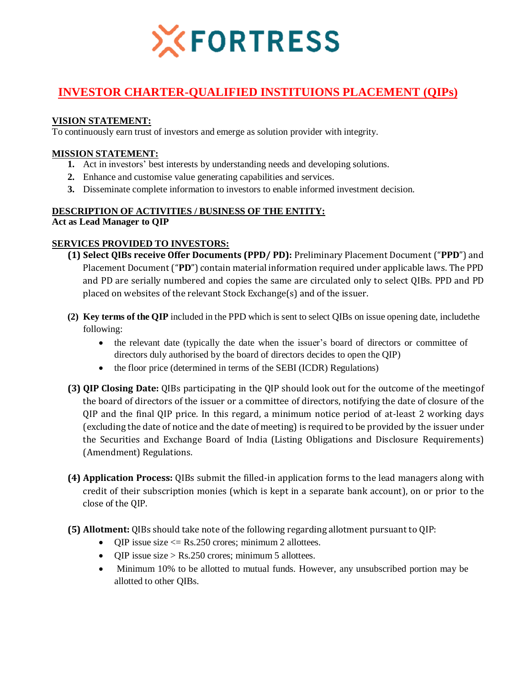

# **INVESTOR CHARTER-QUALIFIED INSTITUIONS PLACEMENT (QIPs)**

#### **VISION STATEMENT:**

To continuously earn trust of investors and emerge as solution provider with integrity.

#### **MISSION STATEMENT:**

- **1.** Act in investors' best interests by understanding needs and developing solutions.
- **2.** Enhance and customise value generating capabilities and services.
- **3.** Disseminate complete information to investors to enable informed investment decision.

#### **DESCRIPTION OF ACTIVITIES / BUSINESS OF THE ENTITY:**

**Act as Lead Manager to QIP**

#### **SERVICES PROVIDED TO INVESTORS:**

- **(1) Select QIBs receive Offer Documents (PPD/ PD):** Preliminary Placement Document ("**PPD**") and Placement Document ("**PD**") contain material information required under applicable laws. The PPD and PD are serially numbered and copies the same are circulated only to select QIBs. PPD and PD placed on websites of the relevant Stock Exchange(s) and of the issuer.
- **(2) Key terms of the QIP** included in the PPD which is sent to select QIBs on issue opening date, includethe following:
	- the relevant date (typically the date when the issuer's board of directors or committee of directors duly authorised by the board of directors decides to open the QIP)
	- the floor price (determined in terms of the SEBI (ICDR) Regulations)
- **(3) QIP Closing Date:** QIBs participating in the QIP should look out for the outcome of the meetingof the board of directors of the issuer or a committee of directors, notifying the date of closure of the QIP and the final QIP price. In this regard, a minimum notice period of at-least 2 working days (excluding the date of notice and the date of meeting) is required to be provided by the issuer under the Securities and Exchange Board of India (Listing Obligations and Disclosure Requirements) (Amendment) Regulations.
- **(4) Application Process:** QIBs submit the filled-in application forms to the lead managers along with credit of their subscription monies (which is kept in a separate bank account), on or prior to the close of the QIP.
- **(5) Allotment:** QIBs should take note of the following regarding allotment pursuant to QIP:
	- QIP issue size  $\leq$  Rs.250 crores; minimum 2 allottees.
	- OIP issue size > Rs.250 crores; minimum 5 allottees.
	- Minimum 10% to be allotted to mutual funds. However, any unsubscribed portion may be allotted to other QIBs.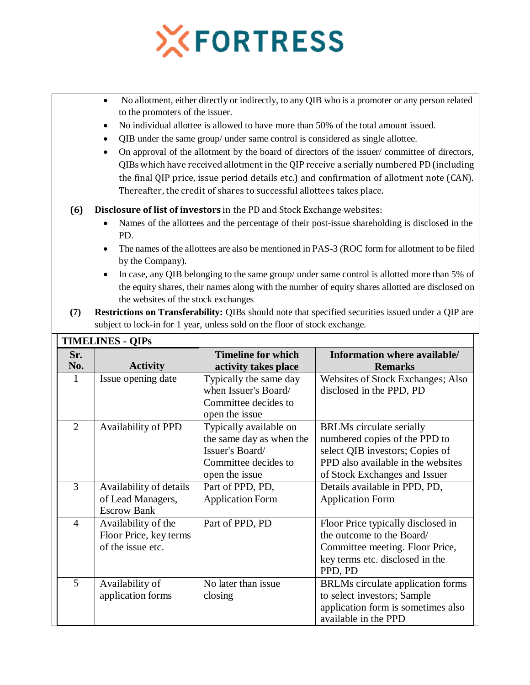

- No allotment, either directly or indirectly, to any QIB who is a promoter or any person related to the promoters of the issuer.
- No individual allottee is allowed to have more than 50% of the total amount issued.
- QIB under the same group/ under same control is considered as single allottee.
- On approval of the allotment by the board of directors of the issuer/ committee of directors, QIBs which have received allotment in the QIP receive a serially numbered PD(including the final QIP price, issue period details etc.) and confirmation of allotment note (CAN). Thereafter, the credit of shares to successful allottees takes place.

#### **(6) Disclosure of list of investors** in the PD and Stock Exchange websites:

- Names of the allottees and the percentage of their post-issue shareholding is disclosed in the PD.
- The names of the allottees are also be mentioned in PAS-3 (ROC form for allotment to be filed by the Company).
- In case, any QIB belonging to the same group/ under same control is allotted more than 5% of the equity shares, their names along with the number of equity shares allotted are disclosed on the websites of the stock exchanges
- **(7) Restrictions on Transferability:** QIBs should note that specified securities issued under a QIP are subject to lock-in for 1 year, unless sold on the floor of stock exchange.

|                | <b>TIMELINES - QIPs</b>                                            |                                                                                                                 |                                                                                                                                                                            |  |  |  |  |
|----------------|--------------------------------------------------------------------|-----------------------------------------------------------------------------------------------------------------|----------------------------------------------------------------------------------------------------------------------------------------------------------------------------|--|--|--|--|
| Sr.<br>No.     | <b>Activity</b>                                                    | <b>Timeline for which</b><br>activity takes place                                                               | Information where available/<br><b>Remarks</b>                                                                                                                             |  |  |  |  |
| $\mathbf{1}$   | Issue opening date                                                 | Typically the same day<br>when Issuer's Board/<br>Committee decides to<br>open the issue                        | Websites of Stock Exchanges; Also<br>disclosed in the PPD, PD                                                                                                              |  |  |  |  |
| $\overline{2}$ | Availability of PPD                                                | Typically available on<br>the same day as when the<br>Issuer's Board/<br>Committee decides to<br>open the issue | <b>BRLMs</b> circulate serially<br>numbered copies of the PPD to<br>select QIB investors; Copies of<br>PPD also available in the websites<br>of Stock Exchanges and Issuer |  |  |  |  |
| 3              | Availability of details<br>of Lead Managers,<br><b>Escrow Bank</b> | Part of PPD, PD,<br><b>Application Form</b>                                                                     | Details available in PPD, PD,<br><b>Application Form</b>                                                                                                                   |  |  |  |  |
| $\overline{4}$ | Availability of the<br>Floor Price, key terms<br>of the issue etc. | Part of PPD, PD                                                                                                 | Floor Price typically disclosed in<br>the outcome to the Board/<br>Committee meeting. Floor Price,<br>key terms etc. disclosed in the<br>PPD, PD                           |  |  |  |  |
| 5              | Availability of<br>application forms                               | No later than issue<br>closing                                                                                  | BRLMs circulate application forms<br>to select investors; Sample<br>application form is sometimes also<br>available in the PPD                                             |  |  |  |  |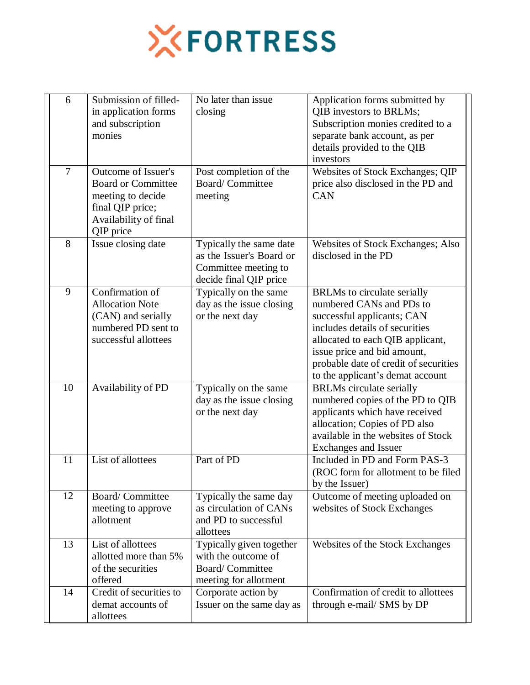

| 6  | Submission of filled-<br>in application forms<br>and subscription<br>monies                                                     | No later than issue<br>closing                                                                        | Application forms submitted by<br>QIB investors to BRLMs;<br>Subscription monies credited to a<br>separate bank account, as per<br>details provided to the QIB<br>investors                                                                                                    |
|----|---------------------------------------------------------------------------------------------------------------------------------|-------------------------------------------------------------------------------------------------------|--------------------------------------------------------------------------------------------------------------------------------------------------------------------------------------------------------------------------------------------------------------------------------|
| 7  | Outcome of Issuer's<br><b>Board or Committee</b><br>meeting to decide<br>final QIP price;<br>Availability of final<br>QIP price | Post completion of the<br>Board/Committee<br>meeting                                                  | Websites of Stock Exchanges; QIP<br>price also disclosed in the PD and<br><b>CAN</b>                                                                                                                                                                                           |
| 8  | Issue closing date                                                                                                              | Typically the same date<br>as the Issuer's Board or<br>Committee meeting to<br>decide final QIP price | Websites of Stock Exchanges; Also<br>disclosed in the PD                                                                                                                                                                                                                       |
| 9  | Confirmation of<br><b>Allocation Note</b><br>(CAN) and serially<br>numbered PD sent to<br>successful allottees                  | Typically on the same<br>day as the issue closing<br>or the next day                                  | <b>BRLMs</b> to circulate serially<br>numbered CANs and PDs to<br>successful applicants; CAN<br>includes details of securities<br>allocated to each QIB applicant,<br>issue price and bid amount,<br>probable date of credit of securities<br>to the applicant's demat account |
| 10 | Availability of PD                                                                                                              | Typically on the same<br>day as the issue closing<br>or the next day                                  | <b>BRLMs</b> circulate serially<br>numbered copies of the PD to QIB<br>applicants which have received<br>allocation; Copies of PD also<br>available in the websites of Stock<br>Exchanges and Issuer                                                                           |
| 11 | List of allottees                                                                                                               | Part of PD                                                                                            | Included in PD and Form PAS-3<br>(ROC form for allotment to be filed<br>by the Issuer)                                                                                                                                                                                         |
| 12 | Board/Committee<br>meeting to approve<br>allotment                                                                              | Typically the same day<br>as circulation of CANs<br>and PD to successful<br>allottees                 | Outcome of meeting uploaded on<br>websites of Stock Exchanges                                                                                                                                                                                                                  |
| 13 | List of allottees<br>allotted more than 5%<br>of the securities<br>offered                                                      | Typically given together<br>with the outcome of<br><b>Board/Committee</b><br>meeting for allotment    | Websites of the Stock Exchanges                                                                                                                                                                                                                                                |
| 14 | Credit of securities to<br>demat accounts of<br>allottees                                                                       | Corporate action by<br>Issuer on the same day as                                                      | Confirmation of credit to allottees<br>through e-mail/ SMS by DP                                                                                                                                                                                                               |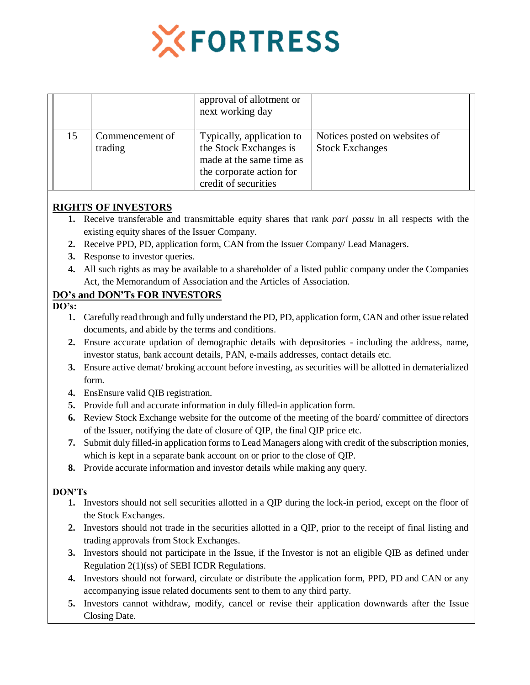

|    |                            | approval of allotment or<br>next working day                                                                                        |                                                         |
|----|----------------------------|-------------------------------------------------------------------------------------------------------------------------------------|---------------------------------------------------------|
| 15 | Commencement of<br>trading | Typically, application to<br>the Stock Exchanges is<br>made at the same time as<br>the corporate action for<br>credit of securities | Notices posted on websites of<br><b>Stock Exchanges</b> |

# **RIGHTS OF INVESTORS**

- **1.** Receive transferable and transmittable equity shares that rank *pari passu* in all respects with the existing equity shares of the Issuer Company.
- **2.** Receive PPD, PD, application form, CAN from the Issuer Company/ Lead Managers.
- **3.** Response to investor queries.
- **4.** All such rights as may be available to a shareholder of a listed public company under the Companies Act, the Memorandum of Association and the Articles of Association.

# **DO's and DON'Ts FOR INVESTORS**

#### **DO's:**

- **1.** Carefully read through and fully understand the PD, PD, application form, CAN and other issue related documents, and abide by the terms and conditions.
- **2.** Ensure accurate updation of demographic details with depositories including the address, name, investor status, bank account details, PAN, e-mails addresses, contact details etc.
- **3.** Ensure active demat/ broking account before investing, as securities will be allotted in dematerialized form.
- **4.** EnsEnsure valid QIB registration.
- **5.** Provide full and accurate information in duly filled-in application form.
- **6.** Review Stock Exchange website for the outcome of the meeting of the board/ committee of directors of the Issuer, notifying the date of closure of QIP, the final QIP price etc.
- **7.** Submit duly filled-in application forms to Lead Managers along with credit of the subscription monies, which is kept in a separate bank account on or prior to the close of QIP.
- **8.** Provide accurate information and investor details while making any query.

### **DON'Ts**

- **1.** Investors should not sell securities allotted in a QIP during the lock-in period, except on the floor of the Stock Exchanges.
- **2.** Investors should not trade in the securities allotted in a QIP, prior to the receipt of final listing and trading approvals from Stock Exchanges.
- **3.** Investors should not participate in the Issue, if the Investor is not an eligible QIB as defined under Regulation 2(1)(ss) of SEBI ICDR Regulations.
- **4.** Investors should not forward, circulate or distribute the application form, PPD, PD and CAN or any accompanying issue related documents sent to them to any third party.
- **5.** Investors cannot withdraw, modify, cancel or revise their application downwards after the Issue Closing Date.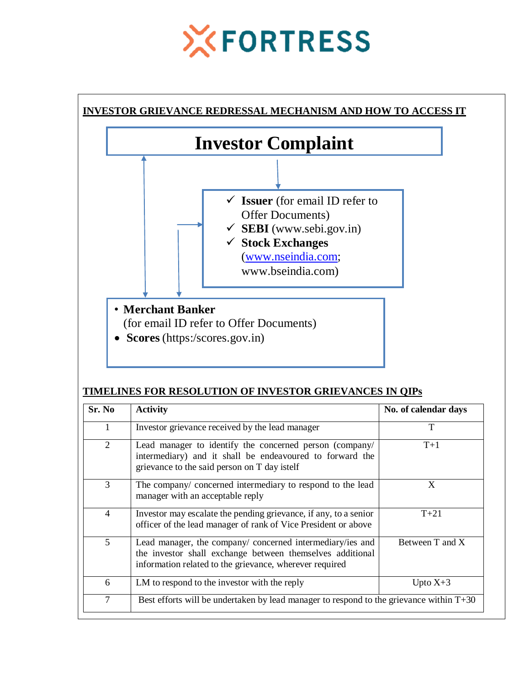# **XFORTRESS**



# **TIMELINES FOR RESOLUTION OF INVESTOR GRIEVANCES IN QIPs**

| Sr. No         | <b>Activity</b>                                                                                                                                                                   | No. of calendar days |  |
|----------------|-----------------------------------------------------------------------------------------------------------------------------------------------------------------------------------|----------------------|--|
|                | Investor grievance received by the lead manager                                                                                                                                   | T                    |  |
| 2              | Lead manager to identify the concerned person (company/<br>intermediary) and it shall be endeavoured to forward the<br>grievance to the said person on T day istelf               | $T+1$                |  |
| 3              | The company/ concerned intermediary to respond to the lead<br>manager with an acceptable reply                                                                                    | X                    |  |
| $\overline{4}$ | Investor may escalate the pending grievance, if any, to a senior<br>officer of the lead manager of rank of Vice President or above                                                | $T + 21$             |  |
| 5              | Lead manager, the company/ concerned intermediary/ies and<br>the investor shall exchange between themselves additional<br>information related to the grievance, wherever required | Between T and X      |  |
| 6              | LM to respond to the investor with the reply                                                                                                                                      | Upto $X+3$           |  |
| $\overline{7}$ | Best efforts will be undertaken by lead manager to respond to the grievance within $T+30$                                                                                         |                      |  |